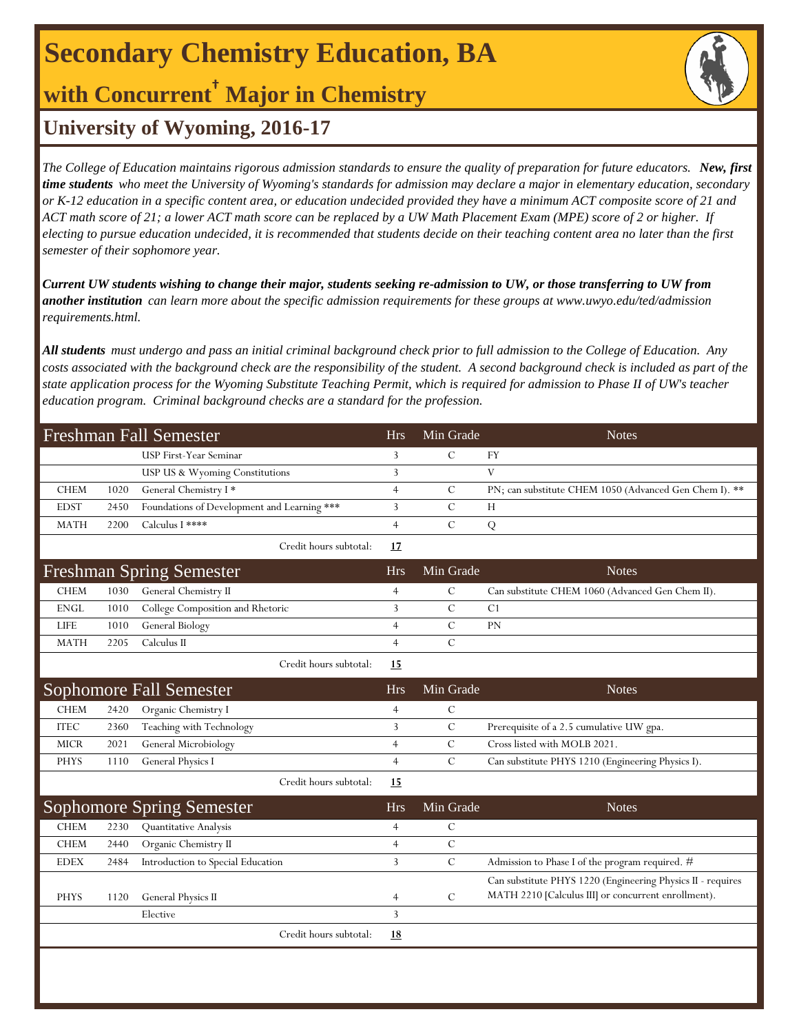# **Secondary Chemistry Education, BA**

**with Concurrent† Major in Chemistry**

### **University of Wyoming, 2016-17**

*The College of Education maintains rigorous admission standards to ensure the quality of preparation for future educators. New, first time students who meet the University of Wyoming's standards for admission may declare a major in elementary education, secondary or K-12 education in a specific content area, or education undecided provided they have a minimum ACT composite score of 21 and ACT math score of 21; a lower ACT math score can be replaced by a UW Math Placement Exam (MPE) score of 2 or higher. If electing to pursue education undecided, it is recommended that students decide on their teaching content area no later than the first semester of their sophomore year.*

*Current UW students wishing to change their major, students seeking re-admission to UW, or those transferring to UW from another institution can learn more about the specific admission requirements for these groups at www.uwyo.edu/ted/admission requirements.html.* 

*All students must undergo and pass an initial criminal background check prior to full admission to the College of Education. Any costs associated with the background check are the responsibility of the student. A second background check is included as part of the state application process for the Wyoming Substitute Teaching Permit, which is required for admission to Phase II of UW's teacher education program. Criminal background checks are a standard for the profession.*

| <b>Freshman Fall Semester</b> |      |                                             | <b>Hrs</b>     | Min Grade     | <b>Notes</b>                                                                                                       |
|-------------------------------|------|---------------------------------------------|----------------|---------------|--------------------------------------------------------------------------------------------------------------------|
|                               |      | USP First-Year Seminar                      | 3              | $\mathcal{C}$ | FY                                                                                                                 |
|                               |      | USP US & Wyoming Constitutions              | 3              |               | V                                                                                                                  |
| <b>CHEM</b>                   | 1020 | General Chemistry I*                        | $\overline{4}$ | $\mathcal{C}$ | PN; can substitute CHEM 1050 (Advanced Gen Chem I). **                                                             |
| <b>EDST</b>                   | 2450 | Foundations of Development and Learning *** | 3              | $\mathbf C$   | H                                                                                                                  |
| <b>MATH</b>                   | 2200 | Calculus I ****                             | $\overline{4}$ | $\mathbf C$   | Q                                                                                                                  |
|                               |      | Credit hours subtotal:                      | 17             |               |                                                                                                                    |
|                               |      | <b>Freshman Spring Semester</b>             | <b>Hrs</b>     | Min Grade     | <b>Notes</b>                                                                                                       |
| <b>CHEM</b>                   | 1030 | General Chemistry II                        | 4              | $\mathbf C$   | Can substitute CHEM 1060 (Advanced Gen Chem II).                                                                   |
| <b>ENGL</b>                   | 1010 | College Composition and Rhetoric            | 3              | $\mathcal{C}$ | C1                                                                                                                 |
| <b>LIFE</b>                   | 1010 | General Biology                             | $\overline{4}$ | $\mathcal{C}$ | PN                                                                                                                 |
| <b>MATH</b>                   | 2205 | Calculus II                                 | $\overline{4}$ | $\mathbf C$   |                                                                                                                    |
|                               |      | Credit hours subtotal:                      | 15             |               |                                                                                                                    |
|                               |      | <b>Sophomore Fall Semester</b>              | <b>Hrs</b>     | Min Grade     | <b>Notes</b>                                                                                                       |
| <b>CHEM</b>                   | 2420 | Organic Chemistry I                         | 4              | $\mathbf C$   |                                                                                                                    |
| <b>ITEC</b>                   | 2360 | Teaching with Technology                    | 3              | $\mathcal{C}$ | Prerequisite of a 2.5 cumulative UW gpa.                                                                           |
| <b>MICR</b>                   | 2021 | General Microbiology                        | $\overline{4}$ | $\mathcal{C}$ | Cross listed with MOLB 2021.                                                                                       |
| <b>PHYS</b>                   | 1110 | General Physics I                           | $\overline{4}$ | $\mathcal{C}$ | Can substitute PHYS 1210 (Engineering Physics I).                                                                  |
|                               |      | Credit hours subtotal:                      | 15             |               |                                                                                                                    |
|                               |      | <b>Sophomore Spring Semester</b>            | <b>Hrs</b>     | Min Grade     | <b>Notes</b>                                                                                                       |
| <b>CHEM</b>                   | 2230 | Quantitative Analysis                       | $\overline{4}$ | ${\bf C}$     |                                                                                                                    |
| <b>CHEM</b>                   | 2440 | Organic Chemistry II                        | $\overline{4}$ | $\mathbf C$   |                                                                                                                    |
| <b>EDEX</b>                   | 2484 | Introduction to Special Education           | 3              | $\mathbf C$   | Admission to Phase I of the program required. #                                                                    |
| <b>PHYS</b>                   | 1120 | General Physics II                          | 4              | $\mathcal{C}$ | Can substitute PHYS 1220 (Engineering Physics II - requires<br>MATH 2210 [Calculus III] or concurrent enrollment). |
|                               |      | Elective                                    | $\overline{3}$ |               |                                                                                                                    |
|                               |      | Credit hours subtotal:                      | <u>18</u>      |               |                                                                                                                    |
|                               |      |                                             |                |               |                                                                                                                    |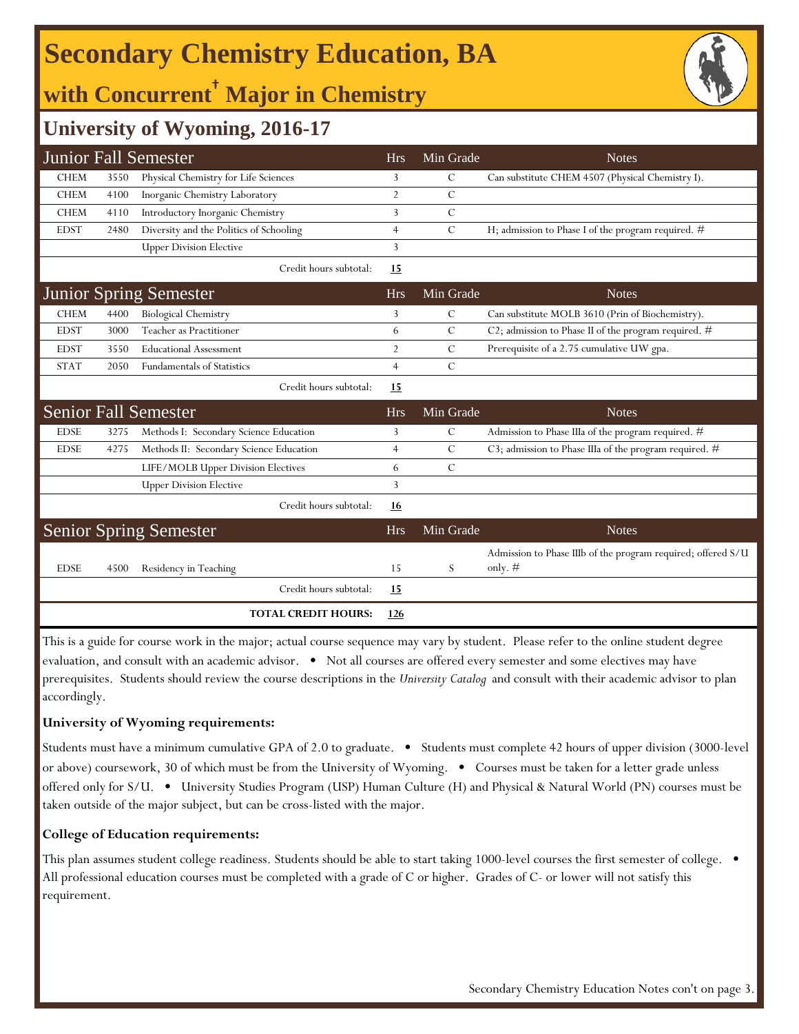# **Secondary Chemistry Education, BA**

## **with Concurrent† Major in Chemistry**



### **University of Wyoming, 2016-17**

|             |      | <b>Junior Fall Semester</b>             | <b>Hrs</b>     | Min Grade     | <b>Notes</b>                                                              |
|-------------|------|-----------------------------------------|----------------|---------------|---------------------------------------------------------------------------|
| <b>CHEM</b> | 3550 | Physical Chemistry for Life Sciences    | 3              | C             | Can substitute CHEM 4507 (Physical Chemistry I).                          |
| <b>CHEM</b> | 4100 | Inorganic Chemistry Laboratory          | $\overline{2}$ | $\mathcal{C}$ |                                                                           |
| <b>CHEM</b> | 4110 | Introductory Inorganic Chemistry        | 3              | $\mathcal{C}$ |                                                                           |
| <b>EDST</b> | 2480 | Diversity and the Politics of Schooling | $\overline{4}$ | $\mathcal{C}$ | H; admission to Phase I of the program required. #                        |
|             |      | <b>Upper Division Elective</b>          | 3              |               |                                                                           |
|             |      | Credit hours subtotal:                  | <u>15</u>      |               |                                                                           |
|             |      | <b>Junior Spring Semester</b>           | Hrs            | Min Grade     | <b>Notes</b>                                                              |
| <b>CHEM</b> | 4400 | <b>Biological Chemistry</b>             | 3              | $\mathsf{C}$  | Can substitute MOLB 3610 (Prin of Biochemistry).                          |
| <b>EDST</b> | 3000 | Teacher as Practitioner                 | 6              | $\mathcal{C}$ | C2; admission to Phase II of the program required. $#$                    |
| <b>EDST</b> | 3550 | <b>Educational Assessment</b>           | $\overline{2}$ | $\mathcal{C}$ | Prerequisite of a 2.75 cumulative UW gpa.                                 |
| <b>STAT</b> | 2050 | <b>Fundamentals of Statistics</b>       | $\overline{4}$ | $\mathcal{C}$ |                                                                           |
|             |      | Credit hours subtotal:                  | <u>15</u>      |               |                                                                           |
|             |      | <b>Senior Fall Semester</b>             | <b>Hrs</b>     | Min Grade     | <b>Notes</b>                                                              |
| <b>EDSE</b> | 3275 | Methods I: Secondary Science Education  | 3              | $\mathcal{C}$ | Admission to Phase IIIa of the program required. #                        |
| <b>EDSE</b> | 4275 | Methods II: Secondary Science Education | $\overline{4}$ | $\mathcal{C}$ | C3; admission to Phase IIIa of the program required. #                    |
|             |      | LIFE/MOLB Upper Division Electives      | 6              | $\mathcal{C}$ |                                                                           |
|             |      | <b>Upper Division Elective</b>          | 3              |               |                                                                           |
|             |      | Credit hours subtotal:                  | <u>16</u>      |               |                                                                           |
|             |      | <b>Senior Spring Semester</b>           | <b>Hrs</b>     | Min Grade     | <b>Notes</b>                                                              |
| <b>EDSE</b> | 4500 | Residency in Teaching                   | 15             | S             | Admission to Phase IIIb of the program required; offered S/U<br>only. $#$ |
|             |      | Credit hours subtotal:                  | 15             |               |                                                                           |
|             |      | <b>TOTAL CREDIT HOURS:</b>              | 126            |               |                                                                           |

This is a guide for course work in the major; actual course sequence may vary by student. Please refer to the online student degree evaluation, and consult with an academic advisor. • Not all courses are offered every semester and some electives may have prerequisites. Students should review the course descriptions in the *University Catalog* and consult with their academic advisor to plan accordingly.

#### **University of Wyoming requirements:**

Students must have a minimum cumulative GPA of 2.0 to graduate. • Students must complete 42 hours of upper division (3000-level or above) coursework, 30 of which must be from the University of Wyoming. • Courses must be taken for a letter grade unless offered only for S/U. • University Studies Program (USP) Human Culture (H) and Physical & Natural World (PN) courses must be taken outside of the major subject, but can be cross-listed with the major.

### **College of Education requirements:**

This plan assumes student college readiness. Students should be able to start taking 1000-level courses the first semester of college. • All professional education courses must be completed with a grade of C or higher. Grades of C- or lower will not satisfy this requirement.